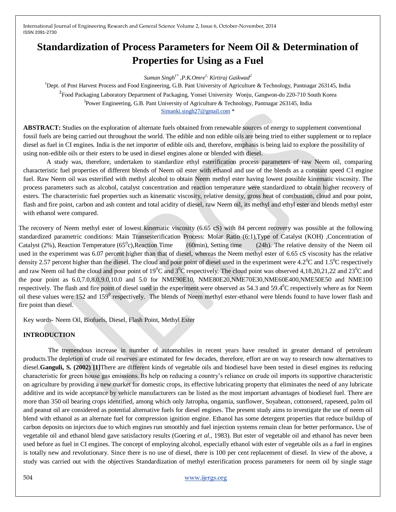# **Standardization of Process Parameters for Neem Oil & Determination of Properties for Using as a Fuel**

*Suman Singh1\* ,P.K.Omre1, Kirtiraj Gaikwad<sup>2</sup>*

<sup>1</sup>Dept. of Post Harvest Process and Food Engineering, G.B. Pant University of Agriculture & Technology, Pantnagar 263145, India <sup>2</sup> Food Packaging Laboratory Department of Packaging, Yonsei University Wonju, Gangwon-do 220-710 South Korea <sup>3</sup> Power Engineering, G.B. Pant University of Agriculture & Technology, Pantnagar 263145, India [Simanki.singh27@gmail.com](mailto:Simanki.singh27@gmail.com) \*

**ABSTRACT:** Studies on the exploration of alternate fuels obtained from renewable sources of energy to supplement conventional fossil fuels are being carried out throughout the world. The edible and non edible oils are being tried to either supplement or to replace diesel as fuel in CI engines. India is the net importer of edible oils and, therefore, emphasis is being laid to explore the possibility of using non-edible oils or their esters to be used in diesel engines alone or blended with diesel.

A study was, therefore, undertaken to standardize ethyl esterification process parameters of raw Neem oil, comparing characteristic fuel properties of different blends of Neem oil ester with ethanol and use of the blends as a constant speed CI engine fuel. Raw Neem oil was esterified with methyl alcohol to obtain Neem methyl ester having lowest possible kinematic viscosity. The process parameters such as alcohol, catalyst concentration and reaction temperature were standardized to obtain higher recovery of esters. The characteristic fuel properties such as kinematic viscosity, relative density, gross heat of combustion, cloud and pour point, flash and fire point, carbon and ash content and total acidity of diesel, raw Neem oil, its methyl and ethyl ester and blends methyl ester with ethanol were compared.

The recovery of Neem methyl ester of lowest kinematic viscosity (6.65 cS) with 84 percent recovery was possible at the following standardized parametric conditions: Main Transesterification Process: Molar Ratio (6:1),Type of Catalyst (KOH) ,Concentration of Catalyst (2%), Reaction Temperature ( $65^{\circ}$ c), Reaction Time  $(60\text{min})$ , Setting time  $(24h)$ . The relative density of the Neem oil used in the experiment was 6.07 percent higher than that of diesel, whereas the Neem methyl ester of 6.65 cS viscosity has the relative density 2.57 percent higher than the diesel. The cloud and pour point of diesel used in the experiment were  $4.2^{\circ}$ C and  $1.5^{\circ}$ C respectively and raw Neem oil had the cloud and pour point of  $19^0C$  and  $3^0C$  respectively. The cloud point was observed 4,18,20,21,22 and 23<sup>0</sup>C and the pour point as 6.0,7.0,8.0,9.0,10.0 and 5.0 for NME90E10, NME80E20,NME70E30,NME60E400,NME50E50 and NME100 respectively. The flash and fire point of diesel used in the experiment were observed as  $54.3$  and  $59.4^{\circ}$ C respectively where as for Neem oil these values were 152 and 159<sup>0</sup> respectively. The blends of Neem methyl ester-ethanol were blends found to have lower flash and fire point than diesel.

Key words- Neem Oil, Biofuels, Diesel, Flash Point, Methyl Ester

## **INTRODUCTION**

The tremendous increase in number of automobiles in recent years have resulted in greater demand of petroleum products.The depletion of crude oil reserves are estimated for few decades, therefore, effort are on way to research now alternatives to diesel.**Ganguli, S. (2002) [1]**There are different kinds of vegetable oils and biodiesel have been tested in diesel engines its reducing characteristic for green house gas emissions. Its help on reducing a country's reliance on crude oil imports its supportive characteristic on agriculture by providing a new market for domestic crops, its effective lubricating property that eliminates the need of any lubricate additive and its wide acceptance by vehicle manufacturers can be listed as the most important advantages of biodiesel fuel. There are more than 350 oil bearing crops identified, among which only Jatropha, ongamia, sunflower, Soyabean, cottonseed, rapeseed, palm oil and peanut oil are considered as potential alternative fuels for diesel engines. The present study aims to investigate the use of neem oil blend with ethanol as an alternate fuel for compression ignition engine. Ethanol has some detergent properties that reduce buildup of carbon deposits on injectors due to which engines run smoothly and fuel injection systems remain clean for better performance**.** Use of vegetable oil and ethanol blend gave satisfactory results (Goering *et al.*, 1983). But ester of vegetable oil and ethanol has never been used before as fuel in CI engines. The concept of employing alcohol, especially ethanol with ester of vegetable oils as a fuel in engines is totally new and revolutionary. Since there is no use of diesel, there is 100 per cent replacement of diesel. In view of the above, a study was carried out with the objectives Standardization of methyl esterification process parameters for neem oil by single stage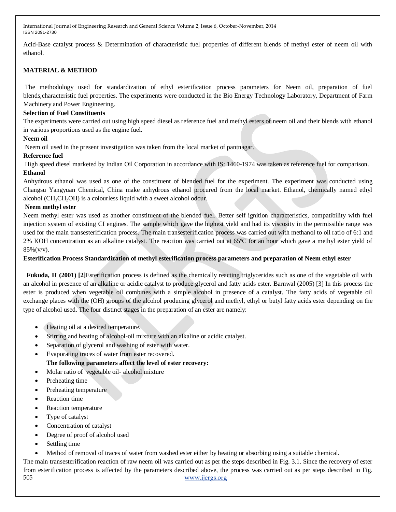Acid-Base catalyst process & Determination of characteristic fuel properties of different blends of methyl ester of neem oil with ethanol.

# **MATERIAL & METHOD**

The methodology used for standardization of ethyl esterification process parameters for Neem oil, preparation of fuel blends,characteristic fuel properties. The experiments were conducted in the Bio Energy Technology Laboratory, Department of Farm Machinery and Power Engineering.

#### **Selection of Fuel Constituents**

The experiments were carried out using high speed diesel as reference fuel and methyl esters of neem oil and their blends with ethanol in various proportions used as the engine fuel.

#### **Neem oil**

Neem oil used in the present investigation was taken from the local market of pantnagar.

#### **Reference fuel**

High speed diesel marketed by Indian Oil Corporation in accordance with IS: 1460-1974 was taken as reference fuel for comparison. **Ethanol** 

Anhydrous ethanol was used as one of the constituent of blended fuel for the experiment. The experiment was conducted using Changsu Yangyuan Chemical, China make anhydrous ethanol procured from the local market. Ethanol, chemically named ethyl alcohol ( $CH<sub>3</sub>CH<sub>2</sub>OH$ ) is a colourless liquid with a sweet alcohol odour.

#### **Neem methyl ester**

Neem methyl ester was used as another constituent of the blended fuel. Better self ignition characteristics, compatibility with fuel injection system of existing CI engines. The sample which gave the highest yield and had its viscosity in the permissible range was used for the main transesterification process. The main transesterification process was carried out with methanol to oil ratio of 6:1 and 2% KOH concentration as an alkaline catalyst. The reaction was carried out at 65ºC for an hour which gave a methyl ester yield of  $85\%$  (v/v).

## **Esterification Process Standardization of methyl esterification process parameters and preparation of Neem ethyl ester**

 **Fukuda, H (2001) [2]**Esterification process is defined as the chemically reacting triglycerides such as one of the vegetable oil with an alcohol in presence of an alkaline or acidic catalyst to produce glycerol and fatty acids ester. Barnwal (2005) [3] In this process the ester is produced when vegetable oil combines with a simple alcohol in presence of a catalyst. The fatty acids of vegetable oil exchange places with the (OH) groups of the alcohol producing glycerol and methyl, ethyl or butyl fatty acids ester depending on the type of alcohol used. The four distinct stages in the preparation of an ester are namely:

- Heating oil at a desired temperature.
- Stirring and heating of alcohol-oil mixture with an alkaline or acidic catalyst.
- Separation of glycerol and washing of ester with water.
- Evaporating traces of water from ester recovered. **The following parameters affect the level of ester recovery:**
- Molar ratio of vegetable oil- alcohol mixture
- Preheating time
- Preheating temperature
- Reaction time
- Reaction temperature
- Type of catalyst
- Concentration of catalyst
- Degree of proof of alcohol used
- Settling time
- Method of removal of traces of water from washed ester either by heating or absorbing using a suitable chemical.

505 [www.ijergs.org](http://www.ijergs.org/) The main transesterification reaction of raw neem oil was carried out as per the steps described in Fig. 3.1. Since the recovery of ester from esterification process is affected by the parameters described above, the process was carried out as per steps described in Fig.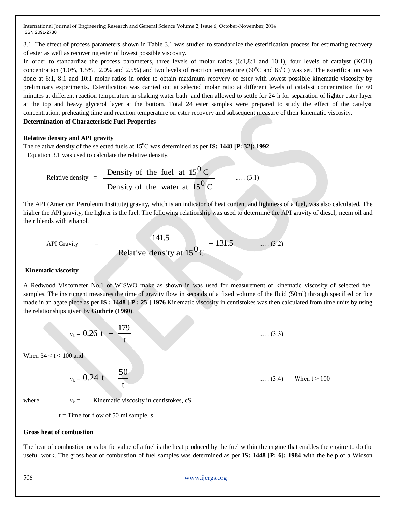3.1. The effect of process parameters shown in Table 3.1 was studied to standardize the esterification process for estimating recovery of ester as well as recovering ester of lowest possible viscosity.

In order to standardize the process parameters, three levels of molar ratios (6:1,8:1 and 10:1), four levels of catalyst (KOH) concentration (1.0%, 1.5%, 2.0% and 2.5%) and two levels of reaction temperature (60<sup>o</sup>C and 65<sup>o</sup>C) was set. The esterification was done at 6:1, 8:1 and 10:1 molar ratios in order to obtain maximum recovery of ester with lowest possible kinematic viscosity by preliminary experiments. Esterification was carried out at selected molar ratio at different levels of catalyst concentration for 60 minutes at different reaction temperature in shaking water bath and then allowed to settle for 24 h for separation of lighter ester layer at the top and heavy glycerol layer at the bottom. Total 24 ester samples were prepared to study the effect of the catalyst concentration, preheating time and reaction temperature on ester recovery and subsequent measure of their kinematic viscosity. **Determination of Characteristic Fuel Properties**

#### **Relative density and API gravity**

The relative density of the selected fuels at  $15^{\circ}$ C was determined as per **IS: 1448 [P: 32]: 1992**. Equation 3.1 was used to calculate the relative density.

Relative density = 
$$
\frac{\text{Density of the fuel at } 15^{0} \text{ C}}{\text{Density of the water at } 15^{0} \text{ C}} \qquad \dots (3.1)
$$

The API (American Petroleum Institute) gravity, which is an indicator of heat content and lightness of a fuel, was also calculated. The higher the API gravity, the lighter is the fuel. The following relationship was used to determine the API gravity of diesel, neem oil and their blends with ethanol.

API Gravity = 
$$
\frac{141.5}{\text{Relative density at } 15^{0} \text{C}} - 131.5 \quad \dots (3.2)
$$

## **Kinematic viscosity**

A Redwood Viscometer No.1 of WISWO make as shown in was used for measurement of kinematic viscosity of selected fuel samples. The instrument measures the time of gravity flow in seconds of a fixed volume of the fluid (50ml) through specified orifice made in an agate piece as per **IS : 1448 [ P : 25 ] 1976** Kinematic viscosity in centistokes was then calculated from time units by using the relationships given by **Guthrie (1960)**.

$$
v_k = 0.26 \ t - \frac{179}{t} \ \ \cdots \ \ (3.3)
$$

When  $34 < t < 100$  and

$$
v_k = 0.24 \text{ t} - \frac{50}{t}
$$
 ...... (3.4) When t > 100

where,  $v_k =$  Kinematic viscosity in centistokes, cS

 $t =$ Time for flow of 50 ml sample, s

#### **Gross heat of combustion**

The heat of combustion or calorific value of a fuel is the heat produced by the fuel within the engine that enables the engine to do the useful work. The gross heat of combustion of fuel samples was determined as per **IS: 1448 [P: 6]: 1984** with the help of a Widson

#### 506 [www.ijergs.org](http://www.ijergs.org/)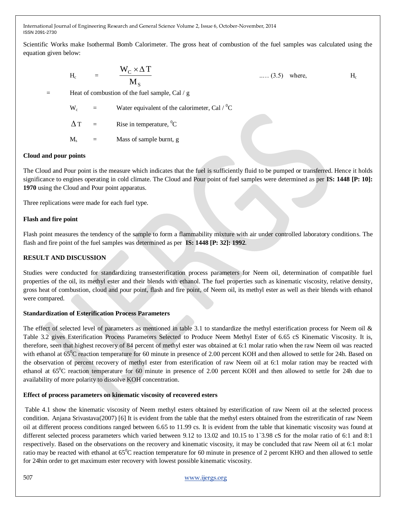Scientific Works make Isothermal Bomb Calorimeter. The gross heat of combustion of the fuel samples was calculated using the equation given below:

$$
H_c = \frac{W_C \times \Delta T}{M_S}
$$
 ..... (3.5) where, H<sub>c</sub>

= Heat of combustion of the fuel sample, Cal / g

 $W_c$  = Water equivalent of the calorimeter, Cal / <sup>0</sup>C

 $\Delta$  T  $=$  Rise in temperature,  ${}^{0}C$ 

 $M_s$  = Mass of sample burnt, g

#### **Cloud and pour points**

The Cloud and Pour point is the measure which indicates that the fuel is sufficiently fluid to be pumped or transferred. Hence it holds significance to engines operating in cold climate. The Cloud and Pour point of fuel samples were determined as per **IS: 1448 [P: 10]: 1970** using the Cloud and Pour point apparatus.

Three replications were made for each fuel type.

## **Flash and fire point**

Flash point measures the tendency of the sample to form a flammability mixture with air under controlled laboratory conditions. The flash and fire point of the fuel samples was determined as per **IS: 1448 [P: 32]: 1992**.

# **RESULT AND DISCUSSION**

Studies were conducted for standardizing transesterification process parameters for Neem oil, determination of compatible fuel properties of the oil, its methyl ester and their blends with ethanol. The fuel properties such as kinematic viscosity, relative density, gross heat of combustion, cloud and pour point, flash and fire point, of Neem oil, its methyl ester as well as their blends with ethanol were compared.

#### **Standardization of Esterification Process Parameters**

The effect of selected level of parameters as mentioned in table 3.1 to standardize the methyl esterification process for Neem oil  $\&$ Table 3.2 gives Esterification Process Parameters Selected to Produce Neem Methyl Ester of 6.65 cS Kinematic Viscosity. It is, therefore, seen that highest recovery of 84 percent of methyl ester was obtained at 6:1 molar ratio when the raw Neem oil was reacted with ethanol at  $65^{\circ}$ C reaction temperature for 60 minute in presence of 2.00 percent KOH and then allowed to settle for 24h. Based on the observation of percent recovery of methyl ester from esterification of raw Neem oil at 6:1 molar ration may be reacted with ethanol at  $65^{\circ}$ C reaction temperature for 60 minute in presence of 2.00 percent KOH and then allowed to settle for 24h due to availability of more polarity to dissolve KOH concentration.

# **Effect of process parameters on kinematic viscosity of recovered esters**

Table 4.1 show the kinematic viscosity of Neem methyl esters obtained by esterification of raw Neem oil at the selected process condition. Anjana Srivastava(2007) [6] It is evident from the table that the methyl esters obtained from the estrerificatin of raw Neem oil at different process conditions ranged between 6.65 to 11.99 cs. It is evident from the table that kinematic viscosity was found at different selected process parameters which varied between 9.12 to 13.02 and 10.15 to 1`3.98 cS for the molar ratio of 6:1 and 8:1 respectively. Based on the observations on the recovery and kinematic viscosity, it may be concluded that raw Neem oil at 6:1 molar ratio may be reacted with ethanol at  $65^{\circ}$ C reaction temperature for 60 minute in presence of 2 percent KHO and then allowed to settle for 24hin order to get maximum ester recovery with lowest possible kinematic viscosity.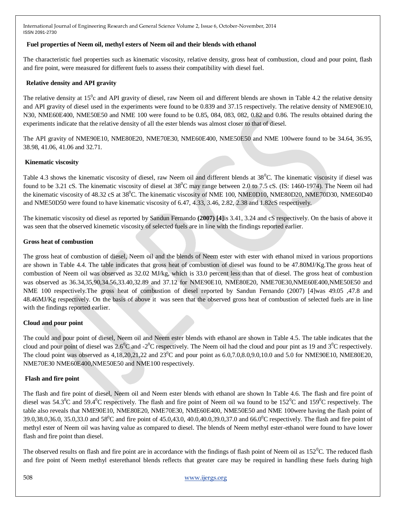## **Fuel properties of Neem oil, methyl esters of Neem oil and their blends with ethanol**

The characteristic fuel properties such as kinematic viscosity, relative density, gross heat of combustion, cloud and pour point, flash and fire point, were measured for different fuels to assess their compatibility with diesel fuel.

# **Relative density and API gravity**

The relative density at  $15^0$ c and API gravity of diesel, raw Neem oil and different blends are shown in Table 4.2 the relative density and API gravity of diesel used in the experiments were found to be 0.839 and 37.15 respectively. The relative density of NME90E10, N30, NME60E400, NME50E50 and NME 100 were found to be 0.85, 084, 083, 082, 0.82 and 0.86. The results obtained during the experiments indicate that the relative density of all the ester blends was almost closer to that of diesel.

The API gravity of NME90E10, NME80E20, NME70E30, NME60E400, NME50E50 and NME 100were found to be 34.64, 36.95, 38.98, 41.06, 41.06 and 32.71.

# **Kinematic viscosity**

Table 4.3 shows the kinematic viscosity of diesel, raw Neem oil and different blends at 38<sup>0</sup>C. The kinematic viscosity if diesel was found to be 3.21 cS. The kinematic viscosity of diesel at  $38^{\circ}$ C may range between 2.0 to 7.5 cS. (IS: 1460-1974). The Neem oil had the kinematic viscosity of 48.32 cS at 38<sup>0</sup>C. The kinematic viscosity of NME 100, NME0D10, NME80D20, NME70D30, NME60D40 and NME50D50 were found to have kinematic viscosity of 6.47, 4.33, 3.46, 2.82, 2.38 and 1.82cS respectively.

The kinematic viscosity od diesel as reported by Sandun Fernando **(2007) [4]**is 3.41, 3.24 and cS respectively. On the basis of above it was seen that the observed kinemetic viscosity of selected fuels are in line with the findings reported earlier.

## **Gross heat of combustion**

The gross heat of combustion of diesel, Neem oil and the blends of Neem ester with ester with ethanol mixed in various proportions are shown in Table 4.4. The table indicates that gross heat of combustion of diesel was found to be 47.80MJ/Kg.The gross heat of combustion of Neem oil was observed as 32.02 MJ/kg, which is 33.0 percent less than that of diesel. The gross heat of combustion was observed as 36.34,35,90,34.56,33.40,32.89 and 37.12 for NME90E10, NME80E20, NME70E30,NME60E400,NME50E50 and NME 100 respectively.The gross heat of combustion of diesel reported by Sandun Fernando (2007) [4]was 49.05 ,47.8 and 48.46MJ/Kg respectively. On the basis of above it was seen that the observed gross heat of combustion of selected fuels are in line with the findings reported earlier.

# **Cloud and pour point**

The could and pour point of diesel, Neem oil and Neem ester blends with ethanol are shown in Table 4.5. The table indicates that the cloud and pour point of diesel was 2.6<sup>0</sup>C and -2<sup>0</sup>C respectively. The Neem oil had the cloud and pour pint as 19 and 3<sup>0</sup>C respectively. The cloud point was observed as  $4,18,20,21,22$  and  $23^{\circ}$ C and pour point as  $6.0,7.0,8.0,9.0,10.0$  and  $5.0$  for NME90E10, NME80E20, NME70E30 NME60E400,NME50E50 and NME100 respectively.

# **Flash and fire point**

The flash and fire point of diesel, Neem oil and Neem ester blends with ethanol are shown In Table 4.6. The flash and fire point of diesel was  $54.3^{\circ}$ C and  $59.4^{\circ}$ C respectively. The flash and fire point of Neem oil wa found to be  $152^{\circ}$ C and  $159^{\circ}$ C respectively. The table also reveals that NME90E10, NME80E20, NME70E30, NME60E400, NME50E50 and NME 100were having the flash point of 39.0,38.0,36.0, 35.0,33.0 and 58<sup>0</sup>C and fire point of 45.0,43.0, 40.0,40.0,39.0,37.0 and 66.0<sup>0</sup>C respectively. The flash and fire point of methyl ester of Neem oil was having value as compared to diesel. The blends of Neem methyl ester-ethanol were found to have lower flash and fire point than diesel.

The observed results on flash and fire point are in accordance with the findings of flash point of Neem oil as  $152^{\circ}$ C. The reduced flash and fire point of Neem methyl esterethanol blends reflects that greater care may be required in handling these fuels during high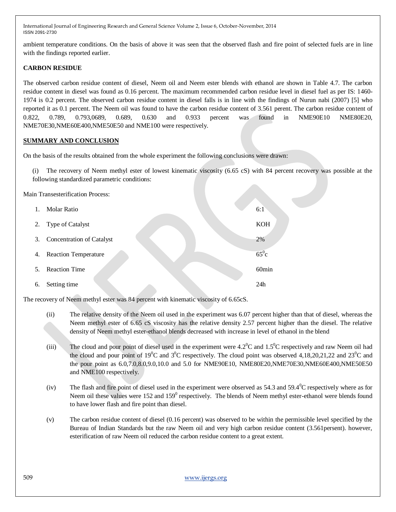ambient temperature conditions. On the basis of above it was seen that the observed flash and fire point of selected fuels are in line with the findings reported earlier.

## **CARBON RESIDUE**

The observed carbon residue content of diesel, Neem oil and Neem ester blends with ethanol are shown in Table 4.7. The carbon residue content in diesel was found as 0.16 percent. The maximum recommended carbon residue level in diesel fuel as per IS: 1460- 1974 is 0.2 percent. The observed carbon residue content in diesel falls is in line with the findings of Nurun nabi (2007) [5] who reported it as 0.1 percent. The Neem oil was found to have the carbon residue content of 3.561 perent. The carbon residue content of 0.822, 0.789, 0.793,0689, 0.689, 0.630 and 0.933 percent was found in NME90E10 NME80E20, NME70E30,NME60E400,NME50E50 and NME100 were respectively.

## **SUMMARY AND CONCLUSION**

On the basis of the results obtained from the whole experiment the following conclusions were drawn:

(i) The recovery of Neem methyl ester of lowest kinematic viscosity (6.65 cS) with 84 percent recovery was possible at the following standardized parametric conditions:

Main Transesterification Process:

| 1. | <b>Molar Ratio</b>               | 6:1               |
|----|----------------------------------|-------------------|
| 2. | Type of Catalyst                 | <b>KOH</b>        |
| 3. | <b>Concentration of Catalyst</b> | 2%                |
| 4. | <b>Reaction Temperature</b>      | $65^0c$           |
| 5. | <b>Reaction Time</b>             | 60 <sub>min</sub> |
| 6. | Setting time                     | 24h               |

The recovery of Neem methyl ester was 84 percent with kinematic viscosity of 6.65cS.

- (ii) The relative density of the Neem oil used in the experiment was 6.07 percent higher than that of diesel, whereas the Neem methyl ester of 6.65 cS viscosity has the relative density 2.57 percent higher than the diesel. The relative density of Neem methyl ester-ethanol blends decreased with increase in level of ethanol in the blend
- (iii) The cloud and pour point of diesel used in the experiment were  $4.2^{\circ}$ C and  $1.5^{\circ}$ C respectively and raw Neem oil had the cloud and pour point of 19<sup>0</sup>C and 3<sup>0</sup>C respectively. The cloud point was observed 4,18,20,21,22 and 23<sup>0</sup>C and the pour point as 6.0,7.0,8.0,9.0,10.0 and 5.0 for NME90E10, NME80E20,NME70E30,NME60E400,NME50E50 and NME100 respectively.
- (iv) The flash and fire point of diesel used in the experiment were observed as  $54.3$  and  $59.4^{\circ}$ C respectively where as for Neem oil these values were 152 and 159<sup>0</sup> respectively. The blends of Neem methyl ester-ethanol were blends found to have lower flash and fire point than diesel.
- (v) The carbon residue content of diesel (0.16 percent) was observed to be within the permissible level specified by the Bureau of Indian Standards but the raw Neem oil and very high carbon residue content (3.561persent). however, esterification of raw Neem oil reduced the carbon residue content to a great extent.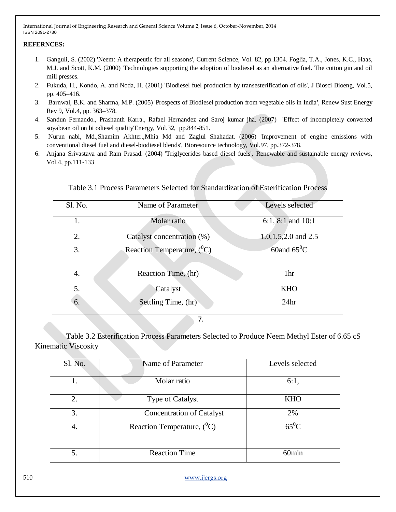# **REFERNCES:**

- 1. Ganguli, S. (2002) 'Neem: A therapeutic for all seasons', Current Science, Vol. 82, pp.1304. Foglia, T.A., Jones, K.C., Haas, M.J. and Scott, K.M. (2000) 'Technologies supporting the adoption of biodiesel as an alternative fuel. The cotton gin and oil mill presses.
- 2. Fukuda, H., Kondo, A. and Noda, H. (2001) 'Biodiesel fuel production by transesterification of oils', J Biosci Bioeng, Vol.5, pp. 405–416.
- 3. Barnwal, B.K. and Sharma, M.P. (2005) 'Prospects of Biodiesel production from vegetable oils in India', Renew Sust Energy Rev 9, Vol.4, pp. 363–378.
- 4. Sandun Fernando., Prashanth Karra., Rafael Hernandez and Saroj kumar jha. (2007) 'Effect of incompletely converted soyabean oil on bi odiesel quality'Energy, Vol.32, pp.844-851.
- 5. Nurun nabi, Md.,Shamim Akhter.,Mhia Md and Zaglul Shahadat. (2006) 'Improvement of engine emissions with conventional diesel fuel and diesel-biodiesel blends', Bioresource technology, Vol.97, pp.372-378.
- 6. Anjana Srivastava and Ram Prasad. (2004) 'Triglycerides based diesel fuels', Renewable and sustainable energy reviews, Vol.4, pp.111-133

| Sl. No. | Name of Parameter             | Levels selected           |
|---------|-------------------------------|---------------------------|
| 1.      | Molar ratio                   | 6:1, 8:1 and $10:1$       |
| 2.      | Catalyst concentration (%)    | $1.0, 1.5, 2.0$ and $2.5$ |
| 3.      | Reaction Temperature, $(^0C)$ | 60and $65^{\circ}$ C      |
| 4.      | Reaction Time, (hr)           | 1hr                       |
| 5.      | Catalyst                      | <b>KHO</b>                |
| 6.      | Settling Time, (hr)           | 24 <sub>hr</sub>          |
|         | ⇁                             |                           |

# Table 3.1 Process Parameters Selected for Standardization of Esterification Process

7.

 Table 3.2 Esterification Process Parameters Selected to Produce Neem Methyl Ester of 6.65 cS Kinematic Viscosity

| Sl. No. | Name of Parameter                 | Levels selected   |  |
|---------|-----------------------------------|-------------------|--|
|         | Molar ratio                       | 6:1,              |  |
| 2.      | Type of Catalyst                  | <b>KHO</b>        |  |
| 3.      | <b>Concentration of Catalyst</b>  | 2%                |  |
| 4.      | Reaction Temperature, $({}^{0}C)$ | $65^0C$           |  |
| 5.      | <b>Reaction Time</b>              | 60 <sub>min</sub> |  |

510 [www.ijergs.org](http://www.ijergs.org/)